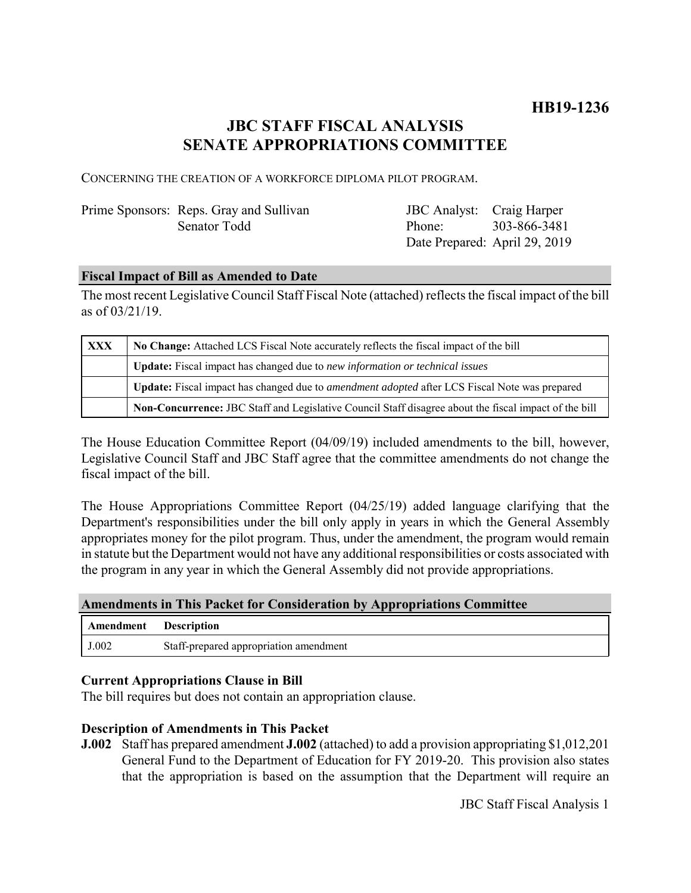# **JBC STAFF FISCAL ANALYSIS SENATE APPROPRIATIONS COMMITTEE**

CONCERNING THE CREATION OF A WORKFORCE DIPLOMA PILOT PROGRAM.

# Prime Sponsors: Reps. Gray and Sullivan Senator Todd

JBC Analyst: Craig Harper Phone: Date Prepared: April 29, 2019 303-866-3481

# **Fiscal Impact of Bill as Amended to Date**

The most recent Legislative Council Staff Fiscal Note (attached) reflects the fiscal impact of the bill as of 03/21/19.

| <b>XXX</b> | No Change: Attached LCS Fiscal Note accurately reflects the fiscal impact of the bill                       |
|------------|-------------------------------------------------------------------------------------------------------------|
|            | Update: Fiscal impact has changed due to new information or technical issues                                |
|            | <b>Update:</b> Fiscal impact has changed due to <i>amendment adopted</i> after LCS Fiscal Note was prepared |
|            | Non-Concurrence: JBC Staff and Legislative Council Staff disagree about the fiscal impact of the bill       |

The House Education Committee Report (04/09/19) included amendments to the bill, however, Legislative Council Staff and JBC Staff agree that the committee amendments do not change the fiscal impact of the bill.

The House Appropriations Committee Report (04/25/19) added language clarifying that the Department's responsibilities under the bill only apply in years in which the General Assembly appropriates money for the pilot program. Thus, under the amendment, the program would remain in statute but the Department would not have any additional responsibilities or costs associated with the program in any year in which the General Assembly did not provide appropriations.

#### **Amendments in This Packet for Consideration by Appropriations Committee**

| Amendment | Description                            |
|-----------|----------------------------------------|
| J.002     | Staff-prepared appropriation amendment |

### **Current Appropriations Clause in Bill**

The bill requires but does not contain an appropriation clause.

### **Description of Amendments in This Packet**

**J.002** Staff has prepared amendment **J.002** (attached) to add a provision appropriating \$1,012,201 General Fund to the Department of Education for FY 2019-20. This provision also states that the appropriation is based on the assumption that the Department will require an